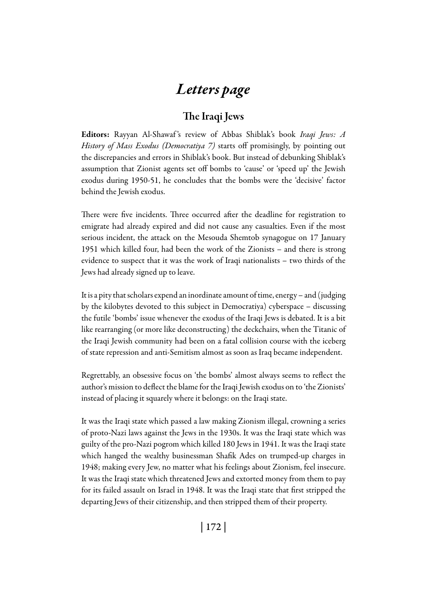## *Letters page*

## The Iraqi Jews

Editors: Rayyan Al-Shawaf 's review of Abbas Shiblak's book *Iraqi Jews: A History of Mass Exodus (Democratiya 7)* starts off promisingly, by pointing out the discrepancies and errors in Shiblak's book. But instead of debunking Shiblak's assumption that Zionist agents set off bombs to 'cause' or 'speed up' the Jewish exodus during 1950-51, he concludes that the bombs were the 'decisive' factor behind the Jewish exodus.

There were five incidents. Three occurred after the deadline for registration to emigrate had already expired and did not cause any casualties. Even if the most serious incident, the attack on the Mesouda Shemtob synagogue on 17 January 1951 which killed four, had been the work of the Zionists – and there is strong evidence to suspect that it was the work of Iraqi nationalists – two thirds of the Jews had already signed up to leave.

It is a pity that scholars expend an inordinate amount of time, energy – and (judging by the kilobytes devoted to this subject in Democratiya) cyberspace – discussing the futile 'bombs' issue whenever the exodus of the Iraqi Jews is debated. It is a bit like rearranging (or more like deconstructing) the deckchairs, when the Titanic of the Iraqi Jewish community had been on a fatal collision course with the iceberg of state repression and anti-Semitism almost as soon as Iraq became independent.

Regrettably, an obsessive focus on 'the bombs' almost always seems to reflect the author's mission to deflect the blame for the Iraqi Jewish exodus on to 'the Zionists' instead of placing it squarely where it belongs: on the Iraqi state.

It was the Iraqi state which passed a law making Zionism illegal, crowning a series of proto-Nazi laws against the Jews in the 1930s. It was the Iraqi state which was guilty of the pro-Nazi pogrom which killed 180 Jews in 1941. It was the Iraqi state which hanged the wealthy businessman Shafik Ades on trumped-up charges in 1948; making every Jew, no matter what his feelings about Zionism, feel insecure. It was the Iraqi state which threatened Jews and extorted money from them to pay for its failed assault on Israel in 1948. It was the Iraqi state that first stripped the departing Jews of their citizenship, and then stripped them of their property.

| 172 |